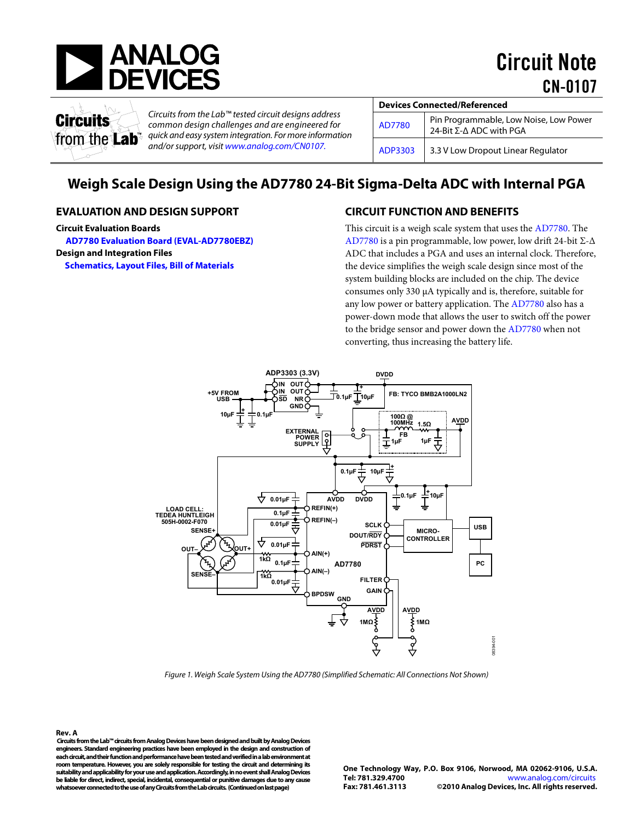

Circuit Note CN-0107



*Circuits from the Lab™ tested circuit designs address common design challenges and are engineered for quick and easy system integration. For more information and/or support, visi[t www.analog.com/CN0107.](http://www.analog.com/CN0107)*

| <b>Devices Connected/Referenced</b> |                                                                   |  |  |
|-------------------------------------|-------------------------------------------------------------------|--|--|
| AD7780                              | Pin Programmable, Low Noise, Low Power<br>24-Bit Σ-Δ ADC with PGA |  |  |
| ADP3303                             | 3.3 V Low Dropout Linear Regulator                                |  |  |

# **Weigh Scale Design Using the AD7780 24-Bit Sigma-Delta ADC with Internal PGA**

#### **EVALUATION AND DESIGN SUPPORT**

**Circuit Evaluation Boards**

**[AD7780 Evaluation Board \(EVAL-AD7780EBZ\)](http://www.analog.com/AD7780)**

**Design and Integration Files** 

**[Schematics, Layout Files, Bill of Materials](http://www.analog.com/CN0107-DesignSupport)**

# **CIRCUIT FUNCTION AND BENEFITS**

This circuit is a weigh scale system that uses the [AD7780.](http://www.analog.com/AD7780) The [AD7780](http://www.analog.com/AD7780) is a pin programmable, low power, low drift 24-bit Σ-Δ ADC that includes a PGA and uses an internal clock. Therefore, the device simplifies the weigh scale design since most of the system building blocks are included on the chip. The device consumes only 330 µA typically and is, therefore, suitable for any low power or battery application. The [AD7780](http://www.analog.com/AD7780) also has a power-down mode that allows the user to switch off the power to the bridge sensor and power down the [AD7780](http://www.analog.com/AD7780) when not converting, thus increasing the battery life.



*Figure 1. Weigh Scale System Using the AD7780 (Simplified Schematic: All Connections Not Shown)*

<span id="page-0-0"></span>**Rev. A Circuits from the Lab™ circuits from Analog Devices have been designed and built by Analog Devices engineers. Standard engineering practices have been employed in the design and construction of each circuit, and their function and performance have been tested and verified in a lab environment at room temperature. However, you are solely responsible for testing the circuit and determining its suitability and applicability for your use and application. Accordingly, in no event shall Analog Devices be liable for direct, indirect, special, incidental, consequential or punitive damages due to any cause whatsoever connected to the use of any Circuits from the Lab circuits. (Continued on last page)**

**One Technology Way, P.O. Box 9106, Norwood, MA 02062-9106, U.S.A. Tel: 781.329.4700** [www.analog.com/circuits](http://www.analog.com/circuits) **Fax: 781.461.3113 ©2010 Analog Devices, Inc. All rights reserved.**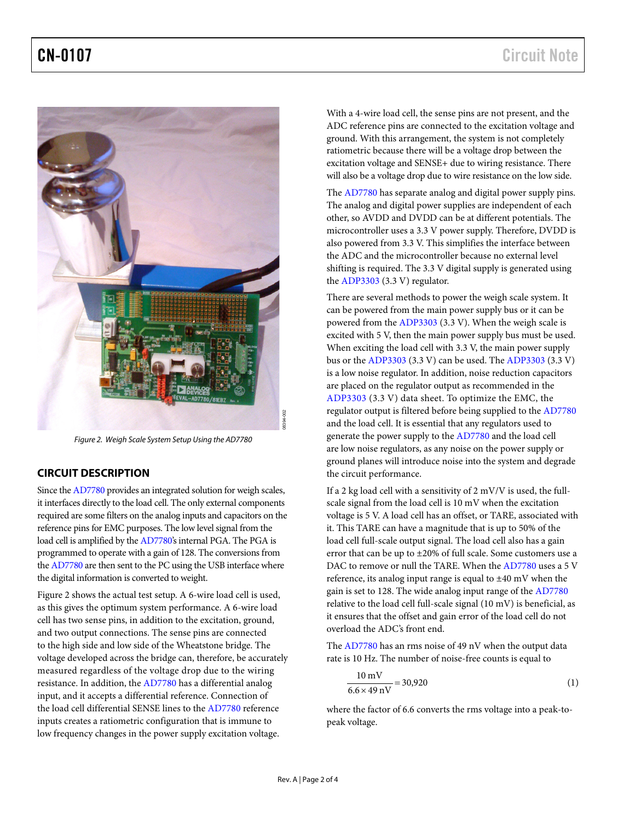

*Figure 2. Weigh Scale System Setup Using the AD7780* 

### <span id="page-1-0"></span>**CIRCUIT DESCRIPTION**

Since th[e AD7780](http://www.analog.com/AD7780) provides an integrated solution for weigh scales, it interfaces directly to the load cell. The only external components required are some filters on the analog inputs and capacitors on the reference pins for EMC purposes. The low level signal from the load cell is amplified by th[e AD7780's](http://www.analog.com/AD7780) internal PGA. The PGA is programmed to operate with a gain of 128. The conversions from th[e AD7780 a](http://www.analog.com/AD7780)re then sent to the PC using the USB interface where the digital information is converted to weight.

[Figure 2](#page-1-0) shows the actual test setup. A 6-wire load cell is used, as this gives the optimum system performance. A 6-wire load cell has two sense pins, in addition to the excitation, ground, and two output connections. The sense pins are connected to the high side and low side of the Wheatstone bridge. The voltage developed across the bridge can, therefore, be accurately measured regardless of the voltage drop due to the wiring resistance. In addition, th[e AD7780](http://www.analog.com/AD7780) has a differential analog input, and it accepts a differential reference. Connection of the load cell differential SENSE lines to th[e AD7780](http://www.analog.com/AD7780) reference inputs creates a ratiometric configuration that is immune to low frequency changes in the power supply excitation voltage.

With a 4-wire load cell, the sense pins are not present, and the ADC reference pins are connected to the excitation voltage and ground. With this arrangement, the system is not completely ratiometric because there will be a voltage drop between the excitation voltage and SENSE+ due to wiring resistance. There will also be a voltage drop due to wire resistance on the low side.

The [AD7780](http://www.analog.com/AD7780) has separate analog and digital power supply pins. The analog and digital power supplies are independent of each other, so AVDD and DVDD can be at different potentials. The microcontroller uses a 3.3 V power supply. Therefore, DVDD is also powered from 3.3 V. This simplifies the interface between the ADC and the microcontroller because no external level shifting is required. The 3.3 V digital supply is generated using the [ADP3303](http://www.analog.com/ADP3303) (3.3 V) regulator.

There are several methods to power the weigh scale system. It can be powered from the main power supply bus or it can be powered from the [ADP3303](http://www.analog.com/ADP3303) (3.3 V). When the weigh scale is excited with 5 V, then the main power supply bus must be used. When exciting the load cell with 3.3 V, the main power supply bus or the [ADP3303](http://www.analog.com/ADP3303) (3.3 V) can be used. Th[e ADP3303](http://www.analog.com/ADP3303) (3.3 V) is a low noise regulator. In addition, noise reduction capacitors are placed on the regulator output as recommended in the [ADP3303](http://www.analog.com/ADP3303) (3.3 V) data sheet. To optimize the EMC, the regulator output is filtered before being supplied to the [AD7780](http://www.analog.com/AD7780) and the load cell. It is essential that any regulators used to generate the power supply to th[e AD7780](http://www.analog.com/AD7780) and the load cell are low noise regulators, as any noise on the power supply or ground planes will introduce noise into the system and degrade the circuit performance.

reg<br>
and ger are<br>
ger are grc the<br>
ex. If a sca woll it.<br>
the woll it.<br>
n re DA ref gain relative<br>
the word Th<br>
nt rat are gain relative<br>
the word Th<br>
ref gain relative<br>
ey.<br>
New. A | Page 2 of 4<br>
Rev. A | Page 2 of 4 If a 2 kg load cell with a sensitivity of 2 mV/V is used, the fullscale signal from the load cell is 10 mV when the excitation voltage is 5 V. A load cell has an offset, or TARE, associated with it. This TARE can have a magnitude that is up to 50% of the load cell full-scale output signal. The load cell also has a gain error that can be up to ±20% of full scale. Some customers use a DAC to remove or null the TARE. When th[e AD7780](http://www.analog.com/AD7780) uses a 5 V reference, its analog input range is equal to ±40 mV when the gain is set to 128. The wide analog input range of th[e AD7780](http://www.analog.com/AD7780) relative to the load cell full-scale signal (10 mV) is beneficial, as it ensures that the offset and gain error of the load cell do not overload the ADC's front end.

Th[e AD7780](http://www.analog.com/AD7780) has an rms noise of 49 nV when the output data rate is 10 Hz. The number of noise-free counts is equal to

$$
\frac{10 \text{ mV}}{6.6 \times 49 \text{ nV}} = 30,920\tag{1}
$$

where the factor of 6.6 converts the rms voltage into a peak-topeak voltage.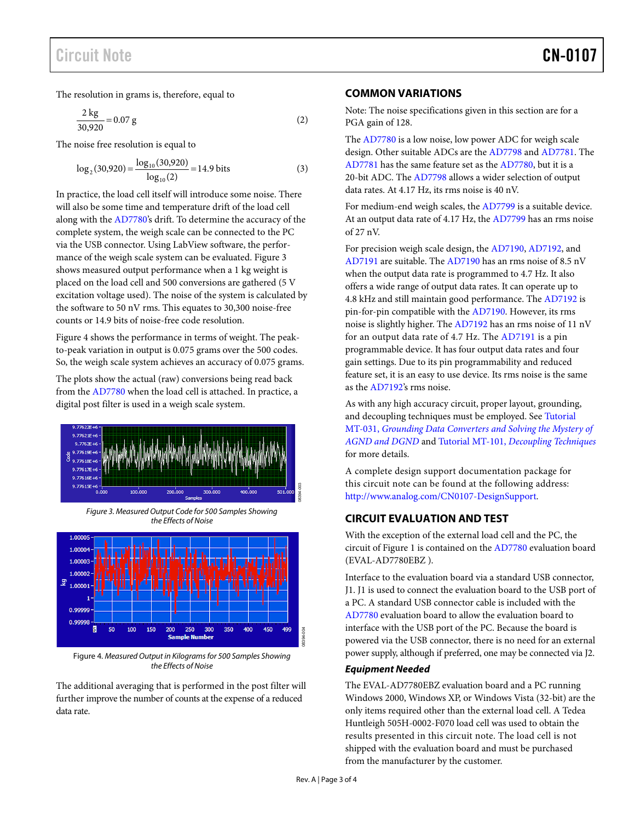The resolution in grams is, therefore, equal to

$$
\frac{2 \text{ kg}}{30,920} = 0.07 \text{ g}
$$
 (2)

The noise free resolution is equal to

$$
\log_2(30,920) = \frac{\log_{10}(30,920)}{\log_{10}(2)} = 14.9 \text{ bits}
$$
 (3)

In practice, the load cell itself will introduce some noise. There will also be some time and temperature drift of the load cell along with th[e AD7780's](http://www.analog.com/AD7780) drift. To determine the accuracy of the complete system, the weigh scale can be connected to the PC via the USB connector. Using LabView software, the performance of the weigh scale system can be evaluated[. Figure 3](#page-2-0) shows measured output performance when a 1 kg weight is placed on the load cell and 500 conversions are gathered (5 V excitation voltage used). The noise of the system is calculated by the software to 50 nV rms. This equates to 30,300 noise-free counts or 14.9 bits of noise-free code resolution.

[Figure 4](#page-2-1) shows the performance in terms of weight. The peakto-peak variation in output is 0.075 grams over the 500 codes. So, the weigh scale system achieves an accuracy of 0.075 grams.

The plots show the actual (raw) conversions being read back from the [AD7780](http://www.analog.com/AD7780) when the load cell is attached. In practice, a digital post filter is used in a weigh scale system.



*Figure 3. Measured Output Code for 500 Samples Showing the Effects of Noise*

<span id="page-2-0"></span>

<span id="page-2-1"></span>Figure 4. *Measured Output in Kilogramsfor 500 Samples Showing the Effects of Noise*

The additional averaging that is performed in the post filter will further improve the number of counts at the expense of a reduced data rate.

#### **COMMON VARIATIONS**

Note: The noise specifications given in this section are for a PGA gain of 128.

The [AD7780](http://www.analog.com/AD7780) is a low noise, low power ADC for weigh scale design. Other suitable ADCs are th[e AD7798](http://www.analog.com/ad7798) and [AD7781.](http://www.analog.com/ad7781) The [AD7781](http://www.analog.com/AD7781) has the same feature set as th[e AD7780,](http://www.analog.com/AD7780) but it is a 20-bit ADC. The [AD7798](http://www.analog.com/AD7798) allows a wider selection of output data rates. At 4.17 Hz, its rms noise is 40 nV.

For medium-end weigh scales, the [AD7799](http://www.analog.com/ad7799) is a suitable device. At an output data rate of 4.17 Hz, th[e AD7799](http://www.analog.com/AD7799) has an rms noise of 27 nV.

For precision weigh scale design, th[e AD7190,](http://www.analog.com/ad7190) [AD7192,](http://www.analog.com/ad7192) and [AD7191](http://www.analog.com/ad7191) are suitable. The [AD7190](http://www.analog.com/AD7190) has an rms noise of 8.5 nV when the output data rate is programmed to 4.7 Hz. It also offers a wide range of output data rates. It can operate up to 4.8 kHz and still maintain good performance. Th[e AD7192](http://www.analog.com/AD7192) is pin-for-pin compatible with th[e AD7190.](http://www.analog.com/AD7190) However, its rms noise is slightly higher. Th[e AD7192](http://www.analog.com/AD7192) has an rms noise of 11 nV for an output data rate of 4.7 Hz. The [AD7191](http://www.analog.com/AD7191) is a pin programmable device. It has four output data rates and four gain settings. Due to its pin programmability and reduced feature set, it is an easy to use device. Its rms noise is the same as the [AD7192's](http://www.analog.com/AD7192) rms noise.

As with any high accuracy circuit, proper layout, grounding, and decoupling techniques must be employed. Se[e Tutorial](http://www.analog.com/MT-031)  MT-031, *[Grounding Data Converters and Solving the Mystery of](http://www.analog.com/MT-031)  [AGND and DGND](http://www.analog.com/MT-031)* and Tutorial MT-101, *[Decoupling Techniques](http://www.analog.com/MT-101)* for more details.

A complete design support documentation package for this circuit note can be found at the following address: [http://www.analog.com/CN0107-DesignSupport.](http://www.analog.com/CN0107-DesignSupport)

# **CIRCUIT EVALUATION AND TEST**

With the exception of the external load cell and the PC, the circuit of Figure 1 is contained on th[e AD7780](http://www.analog.com/AD7780) evaluation board (EVAL-AD7780EBZ ).

Interface to the evaluation board via a standard USB connector, J1. J1 is used to connect the evaluation board to the USB port of a PC. A standard USB connector cable is included with the [AD7780](http://www.analog.com/AD7780) evaluation board to allow the evaluation board to interface with the USB port of the PC. Because the board is powered via the USB connector, there is no need for an external power supply, although if preferred, one may be connected via J2.

#### *Equipment Needed*

The EVAL-AD7780EBZ evaluation board and a PC running Windows 2000, Windows XP, or Windows Vista (32-bit) are the only items required other than the external load cell. A Tedea Huntleigh 505H-0002-F070 load cell was used to obtain the results presented in this circuit note. The load cell is not shipped with the evaluation board and must be purchased from the manufacturer by the customer.